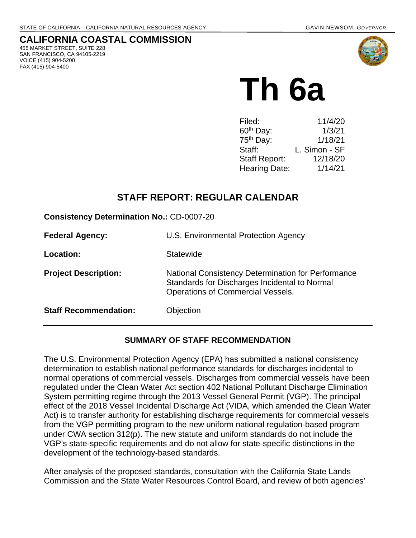# **CALIFORNIA COASTAL COMMISSION**

455 MARKET STREET, SUITE 228 SAN FRANCISCO, CA 94105-2219 VOICE (415) 904-5200 FAX (415) 904-5400



# **Th 6a**

| Filed:                | 11/4/20       |
|-----------------------|---------------|
| $60th$ Day:           | 1/3/21        |
| 75 <sup>th</sup> Day: | 1/18/21       |
| Staff:                | L. Simon - SF |
| <b>Staff Report:</b>  | 12/18/20      |
| <b>Hearing Date:</b>  | 1/14/21       |

# **STAFF REPORT: REGULAR CALENDAR**

**Consistency Determination No.:** CD-0007-20

| <b>Federal Agency:</b>       | U.S. Environmental Protection Agency                                                                                                            |
|------------------------------|-------------------------------------------------------------------------------------------------------------------------------------------------|
| Location:                    | Statewide                                                                                                                                       |
| <b>Project Description:</b>  | National Consistency Determination for Performance<br>Standards for Discharges Incidental to Normal<br><b>Operations of Commercial Vessels.</b> |
| <b>Staff Recommendation:</b> | Objection                                                                                                                                       |

#### **SUMMARY OF STAFF RECOMMENDATION**

The U.S. Environmental Protection Agency (EPA) has submitted a national consistency determination to establish national performance standards for discharges incidental to normal operations of commercial vessels. Discharges from commercial vessels have been regulated under the Clean Water Act section 402 National Pollutant Discharge Elimination System permitting regime through the 2013 Vessel General Permit (VGP). The principal effect of the 2018 Vessel Incidental Discharge Act (VIDA, which amended the Clean Water Act) is to transfer authority for establishing discharge requirements for commercial vessels from the VGP permitting program to the new uniform national regulation-based program under CWA section 312(p). The new statute and uniform standards do not include the VGP's state-specific requirements and do not allow for state-specific distinctions in the development of the technology-based standards.

After analysis of the proposed standards, consultation with the California State Lands Commission and the State Water Resources Control Board, and review of both agencies'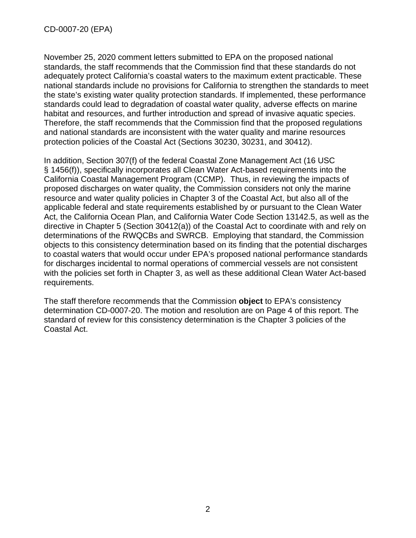November 25, 2020 comment letters submitted to EPA on the proposed national standards, the staff recommends that the Commission find that these standards do not adequately protect California's coastal waters to the maximum extent practicable. These national standards include no provisions for California to strengthen the standards to meet the state's existing water quality protection standards. If implemented, these performance standards could lead to degradation of coastal water quality, adverse effects on marine habitat and resources, and further introduction and spread of invasive aquatic species. Therefore, the staff recommends that the Commission find that the proposed regulations and national standards are inconsistent with the water quality and marine resources protection policies of the Coastal Act (Sections 30230, 30231, and 30412).

In addition, Section 307(f) of the federal Coastal Zone Management Act (16 USC § 1456(f)), specifically incorporates all Clean Water Act-based requirements into the California Coastal Management Program (CCMP). Thus, in reviewing the impacts of proposed discharges on water quality, the Commission considers not only the marine resource and water quality policies in Chapter 3 of the Coastal Act, but also all of the applicable federal and state requirements established by or pursuant to the Clean Water Act, the California Ocean Plan, and California Water Code Section 13142.5, as well as the directive in Chapter 5 (Section 30412(a)) of the Coastal Act to coordinate with and rely on determinations of the RWQCBs and SWRCB. Employing that standard, the Commission objects to this consistency determination based on its finding that the potential discharges to coastal waters that would occur under EPA's proposed national performance standards for discharges incidental to normal operations of commercial vessels are not consistent with the policies set forth in Chapter 3, as well as these additional Clean Water Act-based requirements.

The staff therefore recommends that the Commission **object** to EPA's consistency determination CD-0007-20. The motion and resolution are on Page 4 of this report. The standard of review for this consistency determination is the Chapter 3 policies of the Coastal Act.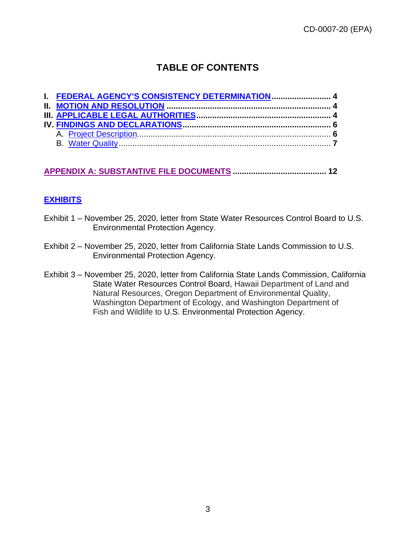# **TABLE OF CONTENTS**

| I. FEDERAL AGENCY'S CONSISTENCY DETERMINATION 4 |  |
|-------------------------------------------------|--|
|                                                 |  |
|                                                 |  |
|                                                 |  |
|                                                 |  |
|                                                 |  |

#### **[APPENDIX A: SUBSTANTIVE FILE DOCUMENTS](#page-11-0) ......................................... 12**

#### **[EXHIBITS](https://documents.coastal.ca.gov/reports/2020/12/th6a/th6a-12-2020-exhibits.pdf)**

- Exhibit 1 November 25, 2020, letter from State Water Resources Control Board to U.S. Environmental Protection Agency.
- Exhibit 2 November 25, 2020, letter from California State Lands Commission to U.S. Environmental Protection Agency.
- Exhibit 3 November 25, 2020, letter from California State Lands Commission, California State Water Resources Control Board, Hawaii Department of Land and Natural Resources, Oregon Department of Environmental Quality, Washington Department of Ecology, and Washington Department of Fish and Wildlife to U.S. Environmental Protection Agency.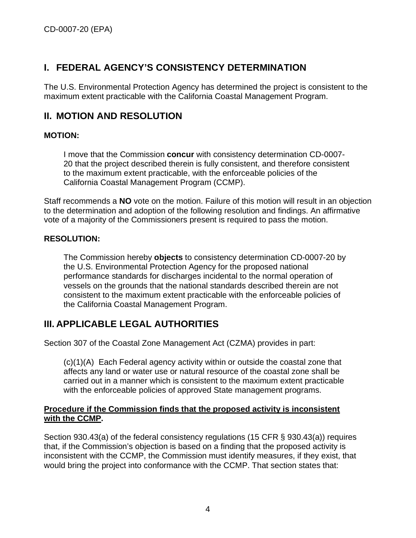# <span id="page-3-0"></span>**I. FEDERAL AGENCY'S CONSISTENCY DETERMINATION**

The U.S. Environmental Protection Agency has determined the project is consistent to the maximum extent practicable with the California Coastal Management Program.

### <span id="page-3-1"></span>**II. MOTION AND RESOLUTION**

#### **MOTION:**

I move that the Commission **concur** with consistency determination CD-0007- 20 that the project described therein is fully consistent, and therefore consistent to the maximum extent practicable, with the enforceable policies of the California Coastal Management Program (CCMP).

Staff recommends a **NO** vote on the motion. Failure of this motion will result in an objection to the determination and adoption of the following resolution and findings. An affirmative vote of a majority of the Commissioners present is required to pass the motion.

#### **RESOLUTION:**

The Commission hereby **objects** to consistency determination CD-0007-20 by the U.S. Environmental Protection Agency for the proposed national performance standards for discharges incidental to the normal operation of vessels on the grounds that the national standards described therein are not consistent to the maximum extent practicable with the enforceable policies of the California Coastal Management Program.

# <span id="page-3-2"></span>**III. APPLICABLE LEGAL AUTHORITIES**

Section 307 of the Coastal Zone Management Act (CZMA) provides in part:

(c)(1)(A) Each Federal agency activity within or outside the coastal zone that affects any land or water use or natural resource of the coastal zone shall be carried out in a manner which is consistent to the maximum extent practicable with the enforceable policies of approved State management programs.

#### **Procedure if the Commission finds that the proposed activity is inconsistent with the CCMP.**

Section 930.43(a) of the federal consistency regulations (15 CFR § 930.43(a)) requires that, if the Commission's objection is based on a finding that the proposed activity is inconsistent with the CCMP, the Commission must identify measures, if they exist, that would bring the project into conformance with the CCMP. That section states that: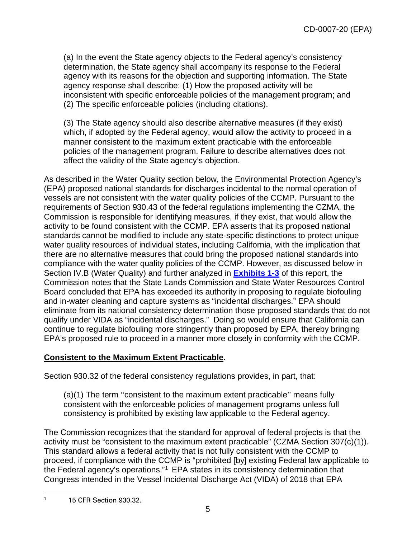(a) In the event the State agency objects to the Federal agency's consistency determination, the State agency shall accompany its response to the Federal agency with its reasons for the objection and supporting information. The State agency response shall describe: (1) How the proposed activity will be inconsistent with specific enforceable policies of the management program; and (2) The specific enforceable policies (including citations).

(3) The State agency should also describe alternative measures (if they exist) which, if adopted by the Federal agency, would allow the activity to proceed in a manner consistent to the maximum extent practicable with the enforceable policies of the management program. Failure to describe alternatives does not affect the validity of the State agency's objection.

As described in the Water Quality section below, the Environmental Protection Agency's (EPA) proposed national standards for discharges incidental to the normal operation of vessels are not consistent with the water quality policies of the CCMP. Pursuant to the requirements of Section 930.43 of the federal regulations implementing the CZMA, the Commission is responsible for identifying measures, if they exist, that would allow the activity to be found consistent with the CCMP. EPA asserts that its proposed national standards cannot be modified to include any state-specific distinctions to protect unique water quality resources of individual states, including California, with the implication that there are no alternative measures that could bring the proposed national standards into compliance with the water quality policies of the CCMP. However, as discussed below in Section IV.B (Water Quality) and further analyzed in **[Exhibits 1-3](https://documents.coastal.ca.gov/reports/2020/12/th6a/th6a-12-2020-exhibits.pdf)** of this report, the Commission notes that the State Lands Commission and State Water Resources Control Board concluded that EPA has exceeded its authority in proposing to regulate biofouling and in-water cleaning and capture systems as "incidental discharges." EPA should eliminate from its national consistency determination those proposed standards that do not qualify under VIDA as "incidental discharges." Doing so would ensure that California can continue to regulate biofouling more stringently than proposed by EPA, thereby bringing EPA's proposed rule to proceed in a manner more closely in conformity with the CCMP.

#### **Consistent to the Maximum Extent Practicable.**

Section 930.32 of the federal consistency regulations provides, in part, that:

(a)(1) The term ''consistent to the maximum extent practicable'' means fully consistent with the enforceable policies of management programs unless full consistency is prohibited by existing law applicable to the Federal agency.

The Commission recognizes that the standard for approval of federal projects is that the activity must be "consistent to the maximum extent practicable" (CZMA Section 307(c)(1)). This standard allows a federal activity that is not fully consistent with the CCMP to proceed, if compliance with the CCMP is "prohibited [by] existing Federal law applicable to the Federal agency's operations."[1](#page-4-0) EPA states in its consistency determination that Congress intended in the Vessel Incidental Discharge Act (VIDA) of 2018 that EPA

<span id="page-4-0"></span><sup>1</sup> 15 CFR Section 930.32.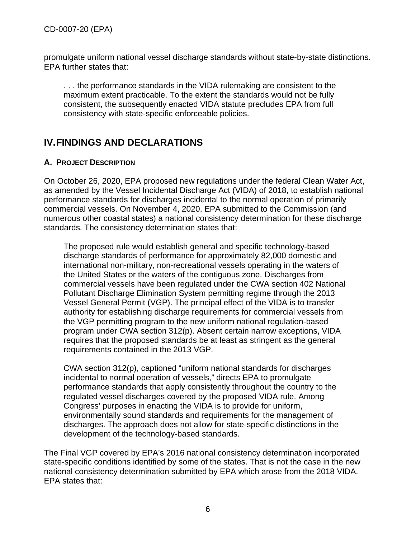promulgate uniform national vessel discharge standards without state-by-state distinctions. EPA further states that:

. . . the performance standards in the VIDA rulemaking are consistent to the maximum extent practicable. To the extent the standards would not be fully consistent, the subsequently enacted VIDA statute precludes EPA from full consistency with state-specific enforceable policies.

# <span id="page-5-0"></span>**IV.FINDINGS AND DECLARATIONS**

#### <span id="page-5-1"></span>**A. PROJECT DESCRIPTION**

On October 26, 2020, EPA proposed new regulations under the federal Clean Water Act, as amended by the Vessel Incidental Discharge Act (VIDA) of 2018, to establish national performance standards for discharges incidental to the normal operation of primarily commercial vessels. On November 4, 2020, EPA submitted to the Commission (and numerous other coastal states) a national consistency determination for these discharge standards. The consistency determination states that:

The proposed rule would establish general and specific technology-based discharge standards of performance for approximately 82,000 domestic and international non-military, non-recreational vessels operating in the waters of the United States or the waters of the contiguous zone. Discharges from commercial vessels have been regulated under the CWA section 402 National Pollutant Discharge Elimination System permitting regime through the 2013 Vessel General Permit (VGP). The principal effect of the VIDA is to transfer authority for establishing discharge requirements for commercial vessels from the VGP permitting program to the new uniform national regulation-based program under CWA section 312(p). Absent certain narrow exceptions, VIDA requires that the proposed standards be at least as stringent as the general requirements contained in the 2013 VGP.

CWA section 312(p), captioned "uniform national standards for discharges incidental to normal operation of vessels," directs EPA to promulgate performance standards that apply consistently throughout the country to the regulated vessel discharges covered by the proposed VIDA rule. Among Congress' purposes in enacting the VIDA is to provide for uniform, environmentally sound standards and requirements for the management of discharges. The approach does not allow for state-specific distinctions in the development of the technology-based standards.

The Final VGP covered by EPA's 2016 national consistency determination incorporated state-specific conditions identified by some of the states. That is not the case in the new national consistency determination submitted by EPA which arose from the 2018 VIDA. EPA states that: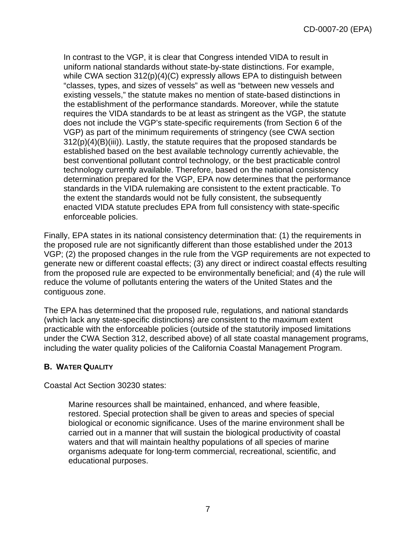In contrast to the VGP, it is clear that Congress intended VIDA to result in uniform national standards without state-by-state distinctions. For example, while CWA section 312(p)(4)(C) expressly allows EPA to distinguish between "classes, types, and sizes of vessels" as well as "between new vessels and existing vessels," the statute makes no mention of state-based distinctions in the establishment of the performance standards. Moreover, while the statute requires the VIDA standards to be at least as stringent as the VGP, the statute does not include the VGP's state-specific requirements (from Section 6 of the VGP) as part of the minimum requirements of stringency (see CWA section 312(p)(4)(B)(iii)). Lastly, the statute requires that the proposed standards be established based on the best available technology currently achievable, the best conventional pollutant control technology, or the best practicable control technology currently available. Therefore, based on the national consistency determination prepared for the VGP, EPA now determines that the performance standards in the VIDA rulemaking are consistent to the extent practicable. To the extent the standards would not be fully consistent, the subsequently enacted VIDA statute precludes EPA from full consistency with state-specific enforceable policies.

Finally, EPA states in its national consistency determination that: (1) the requirements in the proposed rule are not significantly different than those established under the 2013 VGP; (2) the proposed changes in the rule from the VGP requirements are not expected to generate new or different coastal effects; (3) any direct or indirect coastal effects resulting from the proposed rule are expected to be environmentally beneficial; and (4) the rule will reduce the volume of pollutants entering the waters of the United States and the contiguous zone.

The EPA has determined that the proposed rule, regulations, and national standards (which lack any state-specific distinctions) are consistent to the maximum extent practicable with the enforceable policies (outside of the statutorily imposed limitations under the CWA Section 312, described above) of all state coastal management programs, including the water quality policies of the California Coastal Management Program.

#### <span id="page-6-0"></span>**B. WATER QUALITY**

Coastal Act Section 30230 states:

Marine resources shall be maintained, enhanced, and where feasible, restored. Special protection shall be given to areas and species of special biological or economic significance. Uses of the marine environment shall be carried out in a manner that will sustain the biological productivity of coastal waters and that will maintain healthy populations of all species of marine organisms adequate for long-term commercial, recreational, scientific, and educational purposes.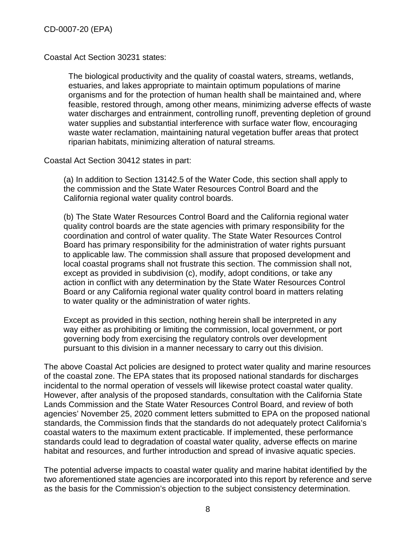Coastal Act Section 30231 states:

The biological productivity and the quality of coastal waters, streams, wetlands, estuaries, and lakes appropriate to maintain optimum populations of marine organisms and for the protection of human health shall be maintained and, where feasible, restored through, among other means, minimizing adverse effects of waste water discharges and entrainment, controlling runoff, preventing depletion of ground water supplies and substantial interference with surface water flow, encouraging waste water reclamation, maintaining natural vegetation buffer areas that protect riparian habitats, minimizing alteration of natural streams.

Coastal Act Section 30412 states in part:

(a) In addition to Section 13142.5 of the Water Code, this section shall apply to the commission and the State Water Resources Control Board and the California regional water quality control boards.

(b) The State Water Resources Control Board and the California regional water quality control boards are the state agencies with primary responsibility for the coordination and control of water quality. The State Water Resources Control Board has primary responsibility for the administration of water rights pursuant to applicable law. The commission shall assure that proposed development and local coastal programs shall not frustrate this section. The commission shall not, except as provided in subdivision (c), modify, adopt conditions, or take any action in conflict with any determination by the State Water Resources Control Board or any California regional water quality control board in matters relating to water quality or the administration of water rights.

Except as provided in this section, nothing herein shall be interpreted in any way either as prohibiting or limiting the commission, local government, or port governing body from exercising the regulatory controls over development pursuant to this division in a manner necessary to carry out this division.

The above Coastal Act policies are designed to protect water quality and marine resources of the coastal zone. The EPA states that its proposed national standards for discharges incidental to the normal operation of vessels will likewise protect coastal water quality. However, after analysis of the proposed standards, consultation with the California State Lands Commission and the State Water Resources Control Board, and review of both agencies' November 25, 2020 comment letters submitted to EPA on the proposed national standards, the Commission finds that the standards do not adequately protect California's coastal waters to the maximum extent practicable. If implemented, these performance standards could lead to degradation of coastal water quality, adverse effects on marine habitat and resources, and further introduction and spread of invasive aquatic species.

The potential adverse impacts to coastal water quality and marine habitat identified by the two aforementioned state agencies are incorporated into this report by reference and serve as the basis for the Commission's objection to the subject consistency determination.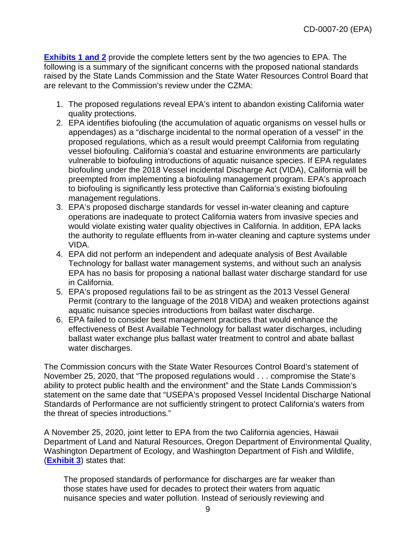**[Exhibits 1 and 2](https://documents.coastal.ca.gov/reports/2020/12/th6a/th6a-12-2020-exhibits.pdf)** provide the complete letters sent by the two agencies to EPA. The following is a summary of the significant concerns with the proposed national standards raised by the State Lands Commission and the State Water Resources Control Board that are relevant to the Commission's review under the CZMA:

- 1. The proposed regulations reveal EPA's intent to abandon existing California water quality protections.
- 2. EPA identifies biofouling (the accumulation of aquatic organisms on vessel hulls or appendages) as a "discharge incidental to the normal operation of a vessel" in the proposed regulations, which as a result would preempt California from regulating vessel biofouling. California's coastal and estuarine environments are particularly vulnerable to biofouling introductions of aquatic nuisance species. If EPA regulates biofouling under the 2018 Vessel incidental Discharge Act (VIDA), California will be preempted from implementing a biofouling management program. EPA's approach to biofouling is significantly less protective than California's existing biofouling management regulations.
- 3. EPA's proposed discharge standards for vessel in-water cleaning and capture operations are inadequate to protect California waters from invasive species and would violate existing water quality objectives in California. In addition, EPA lacks the authority to regulate effluents from in-water cleaning and capture systems under VIDA.
- 4. EPA did not perform an independent and adequate analysis of Best Available Technology for ballast water management systems, and without such an analysis EPA has no basis for proposing a national ballast water discharge standard for use in California.
- 5. EPA's proposed regulations fail to be as stringent as the 2013 Vessel General Permit (contrary to the language of the 2018 VIDA) and weaken protections against aquatic nuisance species introductions from ballast water discharge.
- 6. EPA failed to consider best management practices that would enhance the effectiveness of Best Available Technology for ballast water discharges, including ballast water exchange plus ballast water treatment to control and abate ballast water discharges.

The Commission concurs with the State Water Resources Control Board's statement of November 25, 2020, that "The proposed regulations would . . . compromise the State's ability to protect public health and the environment" and the State Lands Commission's statement on the same date that "USEPA's proposed Vessel Incidental Discharge National Standards of Performance are not sufficiently stringent to protect California's waters from the threat of species introductions."

A November 25, 2020, joint letter to EPA from the two California agencies, Hawaii Department of Land and Natural Resources, Oregon Department of Environmental Quality, Washington Department of Ecology, and Washington Department of Fish and Wildlife, (**[Exhibit 3](https://documents.coastal.ca.gov/reports/2020/12/th6a/th6a-12-2020-exhibits.pdf)**) states that:

The proposed standards of performance for discharges are far weaker than those states have used for decades to protect their waters from aquatic nuisance species and water pollution. Instead of seriously reviewing and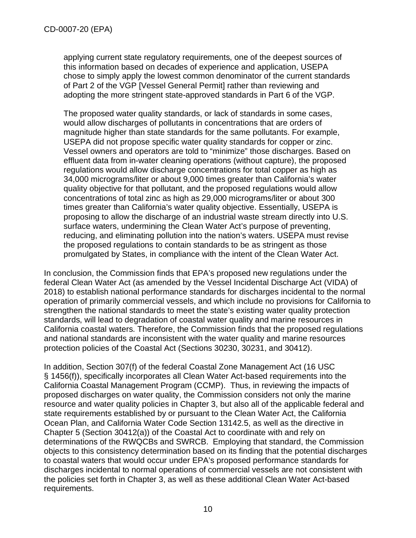applying current state regulatory requirements, one of the deepest sources of this information based on decades of experience and application, USEPA chose to simply apply the lowest common denominator of the current standards of Part 2 of the VGP [Vessel General Permit] rather than reviewing and adopting the more stringent state-approved standards in Part 6 of the VGP.

The proposed water quality standards, or lack of standards in some cases, would allow discharges of pollutants in concentrations that are orders of magnitude higher than state standards for the same pollutants. For example, USEPA did not propose specific water quality standards for copper or zinc. Vessel owners and operators are told to "minimize" those discharges. Based on effluent data from in-water cleaning operations (without capture), the proposed regulations would allow discharge concentrations for total copper as high as 34,000 micrograms/liter or about 9,000 times greater than California's water quality objective for that pollutant, and the proposed regulations would allow concentrations of total zinc as high as 29,000 micrograms/liter or about 300 times greater than California's water quality objective. Essentially, USEPA is proposing to allow the discharge of an industrial waste stream directly into U.S. surface waters, undermining the Clean Water Act's purpose of preventing, reducing, and eliminating pollution into the nation's waters. USEPA must revise the proposed regulations to contain standards to be as stringent as those promulgated by States, in compliance with the intent of the Clean Water Act.

In conclusion, the Commission finds that EPA's proposed new regulations under the federal Clean Water Act (as amended by the Vessel Incidental Discharge Act (VIDA) of 2018) to establish national performance standards for discharges incidental to the normal operation of primarily commercial vessels, and which include no provisions for California to strengthen the national standards to meet the state's existing water quality protection standards, will lead to degradation of coastal water quality and marine resources in California coastal waters. Therefore, the Commission finds that the proposed regulations and national standards are inconsistent with the water quality and marine resources protection policies of the Coastal Act (Sections 30230, 30231, and 30412).

In addition, Section 307(f) of the federal Coastal Zone Management Act (16 USC § 1456(f)), specifically incorporates all Clean Water Act-based requirements into the California Coastal Management Program (CCMP). Thus, in reviewing the impacts of proposed discharges on water quality, the Commission considers not only the marine resource and water quality policies in Chapter 3, but also all of the applicable federal and state requirements established by or pursuant to the Clean Water Act, the California Ocean Plan, and California Water Code Section 13142.5, as well as the directive in Chapter 5 (Section 30412(a)) of the Coastal Act to coordinate with and rely on determinations of the RWQCBs and SWRCB. Employing that standard, the Commission objects to this consistency determination based on its finding that the potential discharges to coastal waters that would occur under EPA's proposed performance standards for discharges incidental to normal operations of commercial vessels are not consistent with the policies set forth in Chapter 3, as well as these additional Clean Water Act-based requirements.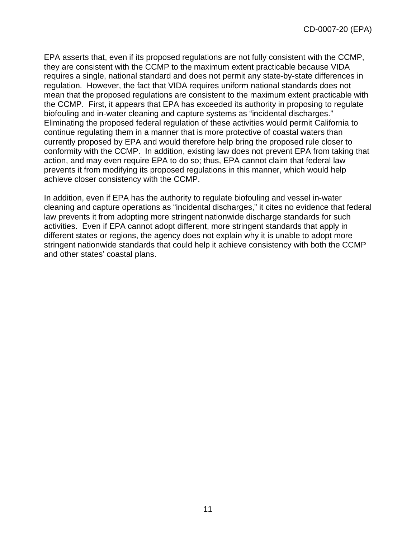EPA asserts that, even if its proposed regulations are not fully consistent with the CCMP, they are consistent with the CCMP to the maximum extent practicable because VIDA requires a single, national standard and does not permit any state-by-state differences in regulation. However, the fact that VIDA requires uniform national standards does not mean that the proposed regulations are consistent to the maximum extent practicable with the CCMP. First, it appears that EPA has exceeded its authority in proposing to regulate biofouling and in-water cleaning and capture systems as "incidental discharges." Eliminating the proposed federal regulation of these activities would permit California to continue regulating them in a manner that is more protective of coastal waters than currently proposed by EPA and would therefore help bring the proposed rule closer to conformity with the CCMP. In addition, existing law does not prevent EPA from taking that action, and may even require EPA to do so; thus, EPA cannot claim that federal law prevents it from modifying its proposed regulations in this manner, which would help achieve closer consistency with the CCMP.

In addition, even if EPA has the authority to regulate biofouling and vessel in-water cleaning and capture operations as "incidental discharges," it cites no evidence that federal law prevents it from adopting more stringent nationwide discharge standards for such activities. Even if EPA cannot adopt different, more stringent standards that apply in different states or regions, the agency does not explain why it is unable to adopt more stringent nationwide standards that could help it achieve consistency with both the CCMP and other states' coastal plans.